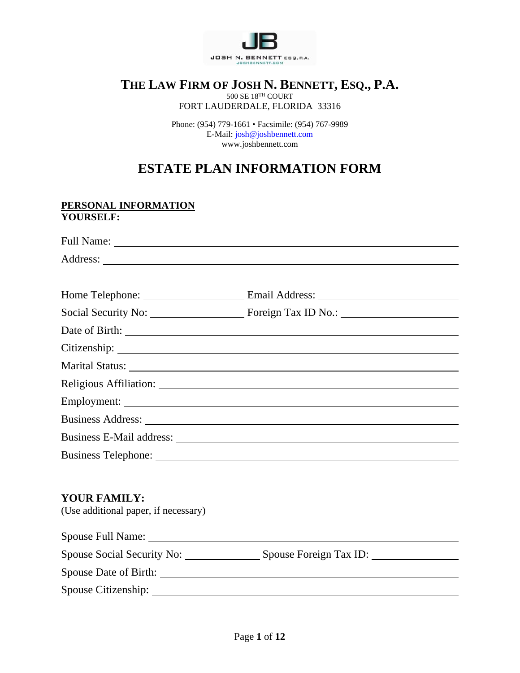

# **THE LAW FIRM OF JOSH N. BENNETT, ESQ., P.A.**

 $500$  SE  $18^{\mathrm{TH}}$  COURT

FORT LAUDERDALE, FLORIDA 33316

Phone: (954) 779-1661 • Facsimile: (954) 767-9989 E-Mail: [josh@joshbennett.com](mailto:josh@joshbennett.com) www.joshbennett.com

# **ESTATE PLAN INFORMATION FORM**

#### **PERSONAL INFORMATION YOURSELF:**

|                                                             | Marital Status: National Status: National Accounts of the Contract of the Contract of the Contract of the Contract of the Contract of the Contract of the Contract of the Contract of the Contract of the Contract of the Cont |  |
|-------------------------------------------------------------|--------------------------------------------------------------------------------------------------------------------------------------------------------------------------------------------------------------------------------|--|
|                                                             |                                                                                                                                                                                                                                |  |
|                                                             |                                                                                                                                                                                                                                |  |
|                                                             |                                                                                                                                                                                                                                |  |
|                                                             |                                                                                                                                                                                                                                |  |
|                                                             |                                                                                                                                                                                                                                |  |
|                                                             |                                                                                                                                                                                                                                |  |
| <b>YOUR FAMILY:</b><br>(Use additional paper, if necessary) |                                                                                                                                                                                                                                |  |
|                                                             |                                                                                                                                                                                                                                |  |
|                                                             | Spouse Social Security No: Spouse Foreign Tax ID:                                                                                                                                                                              |  |
|                                                             |                                                                                                                                                                                                                                |  |
|                                                             |                                                                                                                                                                                                                                |  |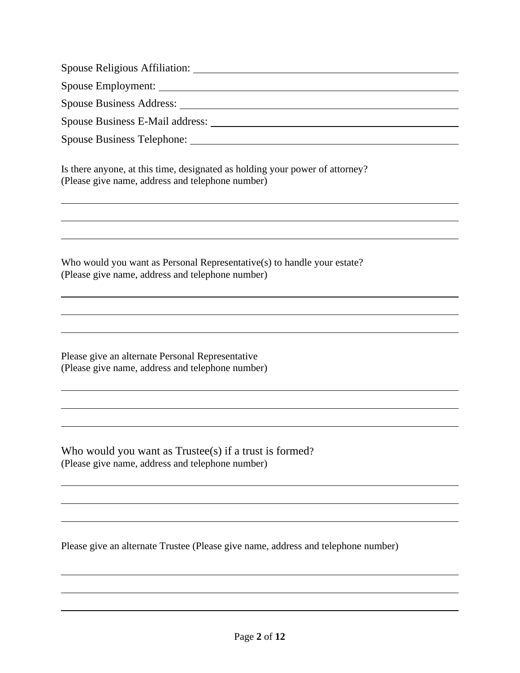Spouse Religious Affiliation:

Spouse Employment:

Spouse Business Address:

Spouse Business E-Mail address:

Spouse Business Telephone:

Is there anyone, at this time, designated as holding your power of attorney? (Please give name, address and telephone number)

Who would you want as Personal Representative(s) to handle your estate? (Please give name, address and telephone number)

Please give an alternate Personal Representative (Please give name, address and telephone number)

Who would you want as Trustee(s) if a trust is formed? (Please give name, address and telephone number)

Please give an alternate Trustee (Please give name, address and telephone number)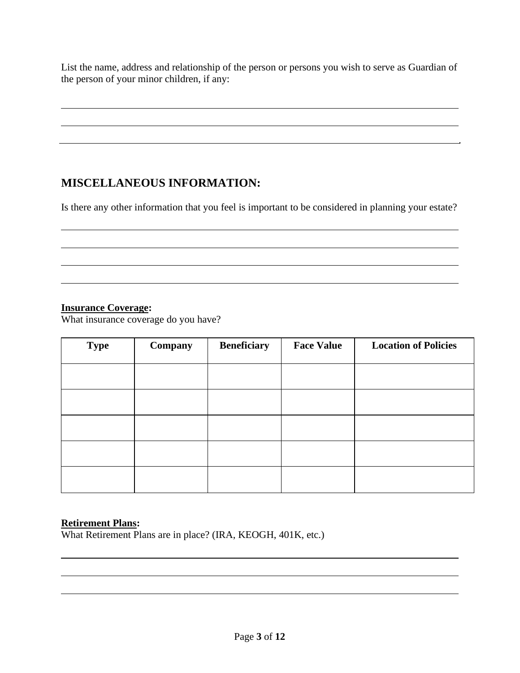List the name, address and relationship of the person or persons you wish to serve as Guardian of the person of your minor children, if any:

### **MISCELLANEOUS INFORMATION:**

Is there any other information that you feel is important to be considered in planning your estate?

#### **Insurance Coverage:**

What insurance coverage do you have?

| <b>Type</b> | Company | <b>Beneficiary</b> | <b>Face Value</b> | <b>Location of Policies</b> |
|-------------|---------|--------------------|-------------------|-----------------------------|
|             |         |                    |                   |                             |
|             |         |                    |                   |                             |
|             |         |                    |                   |                             |
|             |         |                    |                   |                             |
|             |         |                    |                   |                             |

#### **Retirement Plans:**

What Retirement Plans are in place? (IRA, KEOGH, 401K, etc.)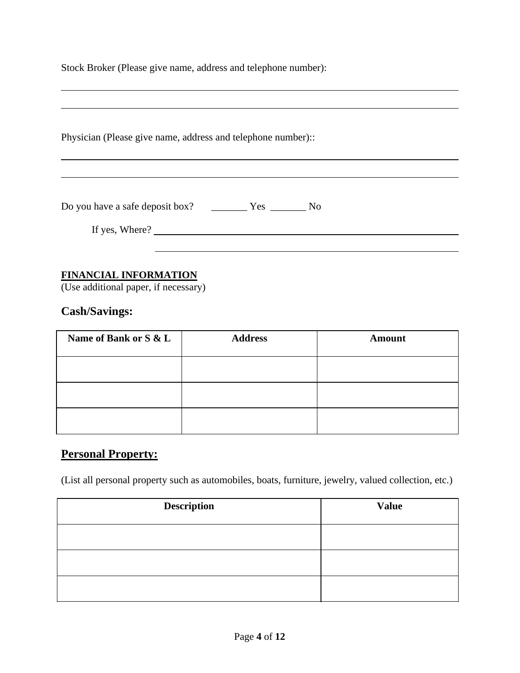Stock Broker (Please give name, address and telephone number):

| Physician (Please give name, address and telephone number):: |  |  |
|--------------------------------------------------------------|--|--|
|                                                              |  |  |
| If yes, Where?                                               |  |  |
|                                                              |  |  |

#### **FINANCIAL INFORMATION**

(Use additional paper, if necessary)

### **Cash/Savings:**

| Name of Bank or S & L | <b>Address</b> | <b>Amount</b> |
|-----------------------|----------------|---------------|
|                       |                |               |
|                       |                |               |
|                       |                |               |

### **Personal Property:**

(List all personal property such as automobiles, boats, furniture, jewelry, valued collection, etc.)

| <b>Description</b> | <b>Value</b> |
|--------------------|--------------|
|                    |              |
|                    |              |
|                    |              |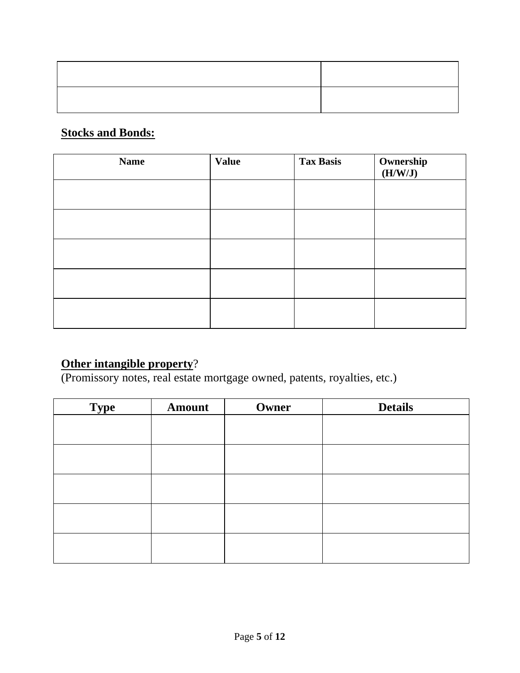# **Stocks and Bonds:**

| <b>Name</b> | <b>Value</b> | <b>Tax Basis</b> | Ownership<br>(H/W/J) |
|-------------|--------------|------------------|----------------------|
|             |              |                  |                      |
|             |              |                  |                      |
|             |              |                  |                      |
|             |              |                  |                      |
|             |              |                  |                      |

# **Other intangible property**?

(Promissory notes, real estate mortgage owned, patents, royalties, etc.)

| <b>Type</b> | <b>Amount</b> | Owner | <b>Details</b> |
|-------------|---------------|-------|----------------|
|             |               |       |                |
|             |               |       |                |
|             |               |       |                |
|             |               |       |                |
|             |               |       |                |
|             |               |       |                |
|             |               |       |                |
|             |               |       |                |
|             |               |       |                |
|             |               |       |                |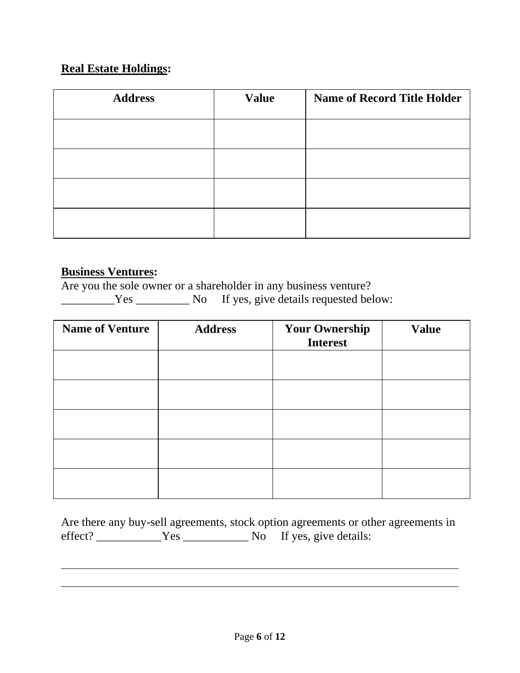## **Real Estate Holdings:**

| <b>Address</b> | <b>Value</b> | <b>Name of Record Title Holder</b> |
|----------------|--------------|------------------------------------|
|                |              |                                    |
|                |              |                                    |
|                |              |                                    |
|                |              |                                    |
|                |              |                                    |

#### **Business Ventures:**

Are you the sole owner or a shareholder in any business venture?

The Secretary No If yes, give details requested below:

| <b>Name of Venture</b> | <b>Address</b> | <b>Your Ownership</b><br><b>Interest</b> | <b>Value</b> |
|------------------------|----------------|------------------------------------------|--------------|
|                        |                |                                          |              |
|                        |                |                                          |              |
|                        |                |                                          |              |
|                        |                |                                          |              |
|                        |                |                                          |              |

|         |      | Are there any buy-sell agreements, stock option agreements or other agreements in |
|---------|------|-----------------------------------------------------------------------------------|
| effect? | Yes. | No If yes, give details:                                                          |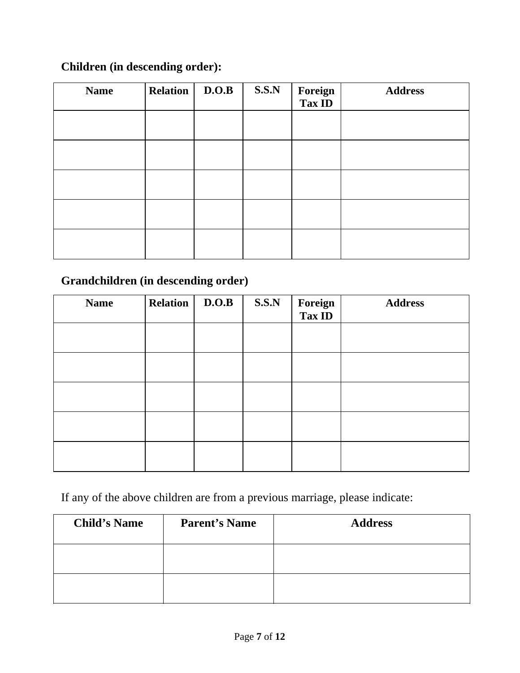## **Children (in descending order):**

| <b>Name</b> | <b>Relation</b> | D.O.B | S.S.N | Foreign<br>Tax ID | <b>Address</b> |
|-------------|-----------------|-------|-------|-------------------|----------------|
|             |                 |       |       |                   |                |
|             |                 |       |       |                   |                |
|             |                 |       |       |                   |                |
|             |                 |       |       |                   |                |
|             |                 |       |       |                   |                |

## **Grandchildren (in descending order)**

| <b>Name</b> | <b>Relation</b> | D.O.B | S.S.N | <b>Foreign<br/>Tax ID</b> | <b>Address</b> |
|-------------|-----------------|-------|-------|---------------------------|----------------|
|             |                 |       |       |                           |                |
|             |                 |       |       |                           |                |
|             |                 |       |       |                           |                |
|             |                 |       |       |                           |                |
|             |                 |       |       |                           |                |

If any of the above children are from a previous marriage, please indicate:

| <b>Child's Name</b> | <b>Parent's Name</b> | <b>Address</b> |
|---------------------|----------------------|----------------|
|                     |                      |                |
|                     |                      |                |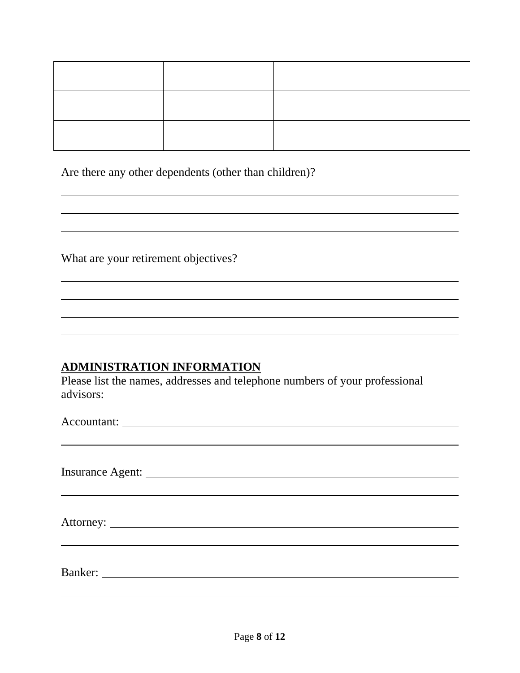Are there any other dependents (other than children)?

What are your retirement objectives?

### **ADMINISTRATION INFORMATION**

Please list the names, addresses and telephone numbers of your professional advisors:

Accountant: <u>example</u> and the contract of the contract of the contract of the contract of the contract of the contract of the contract of the contract of the contract of the contract of the contract of the contract of the

Insurance Agent:

Attorney:

Banker: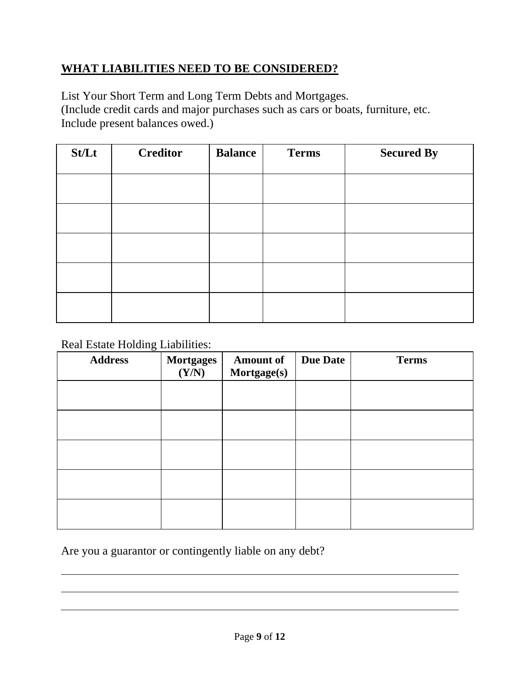### **WHAT LIABILITIES NEED TO BE CONSIDERED?**

List Your Short Term and Long Term Debts and Mortgages.

(Include credit cards and major purchases such as cars or boats, furniture, etc. Include present balances owed.)

| St/Lt | <b>Creditor</b> | <b>Balance</b> | <b>Terms</b> | <b>Secured By</b> |
|-------|-----------------|----------------|--------------|-------------------|
|       |                 |                |              |                   |
|       |                 |                |              |                   |
|       |                 |                |              |                   |
|       |                 |                |              |                   |
|       |                 |                |              |                   |

Real Estate Holding Liabilities:

| <b>Address</b> | Mortgages<br>(Y/N) | <b>Amount of</b><br>Mortgage(s) | <b>Due Date</b> | <b>Terms</b> |
|----------------|--------------------|---------------------------------|-----------------|--------------|
|                |                    |                                 |                 |              |
|                |                    |                                 |                 |              |
|                |                    |                                 |                 |              |
|                |                    |                                 |                 |              |
|                |                    |                                 |                 |              |

Are you a guarantor or contingently liable on any debt?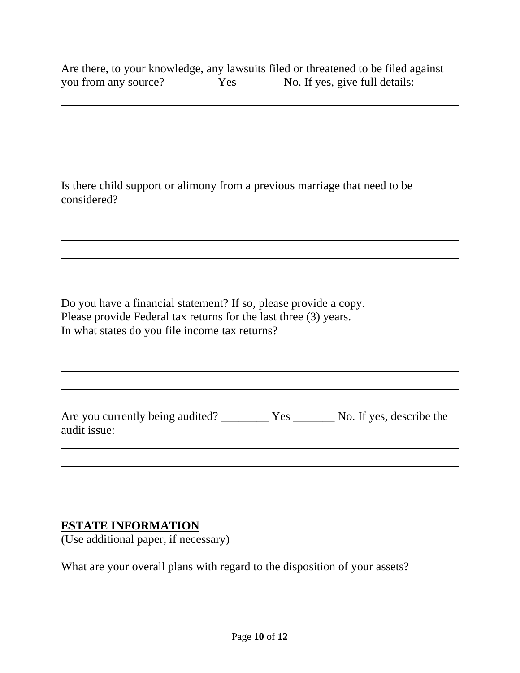| you from any source? __________ Yes ________ No. If yes, give full details:                                                                                                            |  | Are there, to your knowledge, any lawsuits filed or threatened to be filed against |
|----------------------------------------------------------------------------------------------------------------------------------------------------------------------------------------|--|------------------------------------------------------------------------------------|
|                                                                                                                                                                                        |  |                                                                                    |
|                                                                                                                                                                                        |  |                                                                                    |
| Is there child support or alimony from a previous marriage that need to be<br>considered?                                                                                              |  |                                                                                    |
|                                                                                                                                                                                        |  |                                                                                    |
|                                                                                                                                                                                        |  |                                                                                    |
| Do you have a financial statement? If so, please provide a copy.<br>Please provide Federal tax returns for the last three (3) years.<br>In what states do you file income tax returns? |  |                                                                                    |
|                                                                                                                                                                                        |  |                                                                                    |
| audit issue:                                                                                                                                                                           |  |                                                                                    |
|                                                                                                                                                                                        |  |                                                                                    |
|                                                                                                                                                                                        |  |                                                                                    |

# **ESTATE INFORMATION**

(Use additional paper, if necessary)

What are your overall plans with regard to the disposition of your assets?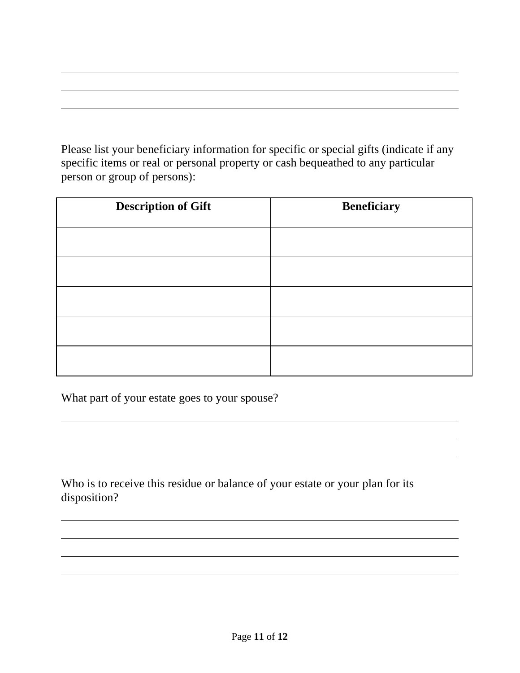Please list your beneficiary information for specific or special gifts (indicate if any specific items or real or personal property or cash bequeathed to any particular person or group of persons):

| <b>Description of Gift</b> | <b>Beneficiary</b> |
|----------------------------|--------------------|
|                            |                    |
|                            |                    |
|                            |                    |
|                            |                    |
|                            |                    |

What part of your estate goes to your spouse?

Who is to receive this residue or balance of your estate or your plan for its disposition?